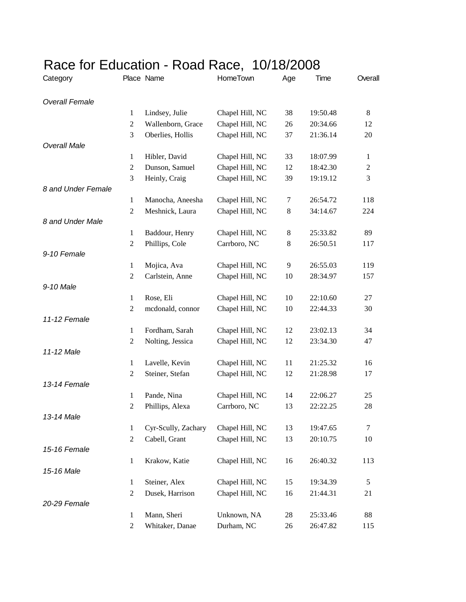| Category              |                                | Place Name          | HomeTown                        | Age | Time                 | Overall          |
|-----------------------|--------------------------------|---------------------|---------------------------------|-----|----------------------|------------------|
| <b>Overall Female</b> |                                |                     |                                 |     |                      |                  |
|                       | 1                              | Lindsey, Julie      | Chapel Hill, NC                 | 38  | 19:50.48             | 8                |
|                       | $\overline{2}$                 | Wallenborn, Grace   | Chapel Hill, NC                 | 26  | 20:34.66             | 12               |
|                       | 3                              | Oberlies, Hollis    | Chapel Hill, NC                 | 37  | 21:36.14             | 20               |
| <b>Overall Male</b>   |                                |                     |                                 |     |                      |                  |
|                       | $\mathbf{1}$                   | Hibler, David       | Chapel Hill, NC                 | 33  | 18:07.99             | $\mathbf{1}$     |
|                       | $\overline{2}$                 | Dunson, Samuel      | Chapel Hill, NC                 | 12  | 18:42.30             | $\boldsymbol{2}$ |
|                       | 3                              | Heinly, Craig       | Chapel Hill, NC                 | 39  | 19:19.12             | 3                |
| 8 and Under Female    |                                |                     |                                 |     |                      |                  |
|                       | 1                              | Manocha, Aneesha    | Chapel Hill, NC                 | 7   | 26:54.72             | 118              |
|                       | $\overline{2}$                 | Meshnick, Laura     | Chapel Hill, NC                 | 8   | 34:14.67             | 224              |
| 8 and Under Male      |                                |                     |                                 |     |                      |                  |
|                       | $\mathbf{1}$                   | Baddour, Henry      | Chapel Hill, NC                 | 8   | 25:33.82             | 89               |
|                       | $\overline{2}$                 | Phillips, Cole      | Carrboro, NC                    | 8   | 26:50.51             | 117              |
| 9-10 Female           |                                |                     |                                 |     |                      |                  |
|                       | $\mathbf{1}$                   | Mojica, Ava         | Chapel Hill, NC                 | 9   | 26:55.03             | 119              |
|                       | $\mathfrak{2}$                 | Carlstein, Anne     | Chapel Hill, NC                 | 10  | 28:34.97             | 157              |
| 9-10 Male             |                                |                     |                                 |     |                      |                  |
|                       | $\mathbf{1}$                   | Rose, Eli           | Chapel Hill, NC                 | 10  | 22:10.60             | 27               |
|                       | $\mathfrak{2}$                 | mcdonald, connor    | Chapel Hill, NC                 | 10  | 22:44.33             | 30               |
| 11-12 Female          |                                |                     |                                 |     |                      |                  |
|                       | $\mathbf{1}$                   | Fordham, Sarah      | Chapel Hill, NC                 | 12  | 23:02.13             | 34               |
|                       | 2                              | Nolting, Jessica    | Chapel Hill, NC                 | 12  | 23:34.30             | 47               |
| 11-12 Male            |                                |                     |                                 |     |                      |                  |
|                       | $\mathbf{1}$                   | Lavelle, Kevin      | Chapel Hill, NC                 | 11  | 21:25.32             | 16               |
|                       | 2                              | Steiner, Stefan     | Chapel Hill, NC                 | 12  | 21:28.98             | 17               |
| 13-14 Female          |                                |                     |                                 |     |                      |                  |
|                       | $\mathbf{1}$<br>$\mathfrak{2}$ | Pande, Nina         | Chapel Hill, NC<br>Carrboro, NC | 14  | 22:06.27<br>22:22.25 | 25               |
| 13-14 Male            |                                | Phillips, Alexa     |                                 | 13  |                      | 28               |
|                       | $\mathbf{1}$                   | Cyr-Scully, Zachary | Chapel Hill, NC                 | 13  | 19:47.65             | 7                |
|                       | $\overline{2}$                 | Cabell, Grant       | Chapel Hill, NC                 | 13  | 20:10.75             | 10               |
| 15-16 Female          |                                |                     |                                 |     |                      |                  |
|                       | $\mathbf{1}$                   | Krakow, Katie       | Chapel Hill, NC                 | 16  | 26:40.32             | 113              |
| 15-16 Male            |                                |                     |                                 |     |                      |                  |
|                       | $\mathbf{1}$                   | Steiner, Alex       | Chapel Hill, NC                 | 15  | 19:34.39             | 5                |
|                       | $\overline{2}$                 | Dusek, Harrison     | Chapel Hill, NC                 | 16  | 21:44.31             | 21               |
| 20-29 Female          |                                |                     |                                 |     |                      |                  |
|                       | $\mathbf{1}$                   | Mann, Sheri         | Unknown, NA                     | 28  | 25:33.46             | 88               |
|                       | $\overline{2}$                 | Whitaker, Danae     | Durham, NC                      | 26  | 26:47.82             | 115              |

## Race for Education - Road Race, 10/18/2008